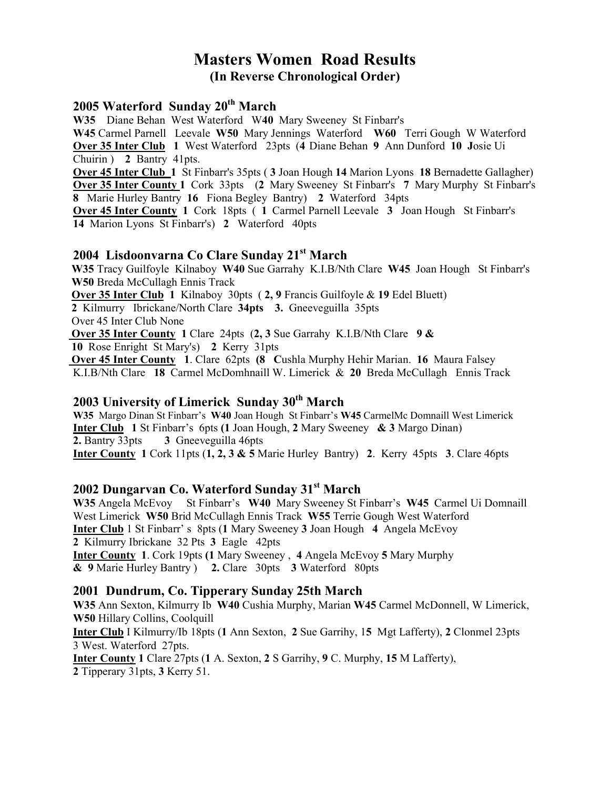# Masters Women Road Results (In Reverse Chronological Order)

## 2005 Waterford Sunday 20<sup>th</sup> March

W35 Diane Behan West Waterford W40 Mary Sweeney St Finbarr's

W45 Carmel Parnell Leevale W50 Mary Jennings Waterford W60 Terri Gough W Waterford Over 35 Inter Club 1 West Waterford 23pts (4 Diane Behan 9 Ann Dunford 10 Josie Ui Chuirin ) 2 Bantry 41pts.

Over 45 Inter Club 1 St Finbarr's 35pts ( 3 Joan Hough 14 Marion Lyons 18 Bernadette Gallagher) Over 35 Inter County 1 Cork 33pts (2 Mary Sweeney St Finbarr's 7 Mary Murphy St Finbarr's 8 Marie Hurley Bantry 16 Fiona Begley Bantry) 2 Waterford 34pts

Over 45 Inter County 1 Cork 18pts ( 1 Carmel Parnell Leevale 3 Joan Hough St Finbarr's 14 Marion Lyons St Finbarr's) 2 Waterford 40pts

### 2004 Lisdoonvarna Co Clare Sunday 21<sup>st</sup> March

W35 Tracy Guilfoyle Kilnaboy W40 Sue Garrahy K.I.B/Nth Clare W45 Joan Hough St Finbarr's W50 Breda McCullagh Ennis Track

Over 35 Inter Club 1 Kilnaboy 30pts ( 2, 9 Francis Guilfoyle & 19 Edel Bluett)

2 Kilmurry Ibrickane/North Clare 34pts 3. Gneeveguilla 35pts

Over 45 Inter Club None

Over 35 Inter County 1 Clare 24pts (2, 3 Sue Garrahy K.I.B/Nth Clare 9 &

10 Rose Enright St Mary's) 2 Kerry 31pts

 Over 45 Inter County 1. Clare 62pts (8 Cushla Murphy Hehir Marian. 16 Maura Falsey K.I.B/Nth Clare 18 Carmel McDomhnaill W. Limerick & 20 Breda McCullagh Ennis Track

### 2003 University of Limerick Sunday  $30<sup>th</sup>$  March

W35 Margo Dinan St Finbarr's W40 Joan Hough St Finbarr's W45 CarmelMc Domnaill West Limerick Inter Club 1 St Finbarr's 6pts (1 Joan Hough, 2 Mary Sweeney & 3 Margo Dinan) 2. Bantry 33pts 3 Gneeveguilla 46pts Inter County 1 Cork 11pts (1, 2, 3 & 5 Marie Hurley Bantry) 2. Kerry 45pts 3. Clare 46pts

### 2002 Dungarvan Co. Waterford Sunday 31<sup>st</sup> March

W35 Angela McEvoy St Finbarr's W40 Mary Sweeney St Finbarr's W45 Carmel Ui Domnaill West Limerick W50 Brid McCullagh Ennis Track W55 Terrie Gough West Waterford Inter Club 1 St Finbarr' s 8pts (1 Mary Sweeney 3 Joan Hough 4 Angela McEvoy 2 Kilmurry Ibrickane 32 Pts 3 Eagle 42pts

**Inter County 1.** Cork 19pts (1 Mary Sweeney, 4 Angela McEvoy 5 Mary Murphy & 9 Marie Hurley Bantry ) 2. Clare 30pts 3 Waterford 80pts

### 2001 Dundrum, Co. Tipperary Sunday 25th March

W35 Ann Sexton, Kilmurry Ib W40 Cushia Murphy, Marian W45 Carmel McDonnell, W Limerick, W50 Hillary Collins, Coolquill

Inter Club I Kilmurry/Ib 18pts (1 Ann Sexton, 2 Sue Garrihy, 15 Mgt Lafferty), 2 Clonmel 23pts 3 West. Waterford 27pts.

Inter County 1 Clare 27pts (1 A. Sexton, 2 S Garrihy, 9 C. Murphy, 15 M Lafferty),

2 Tipperary 31pts, 3 Kerry 51.